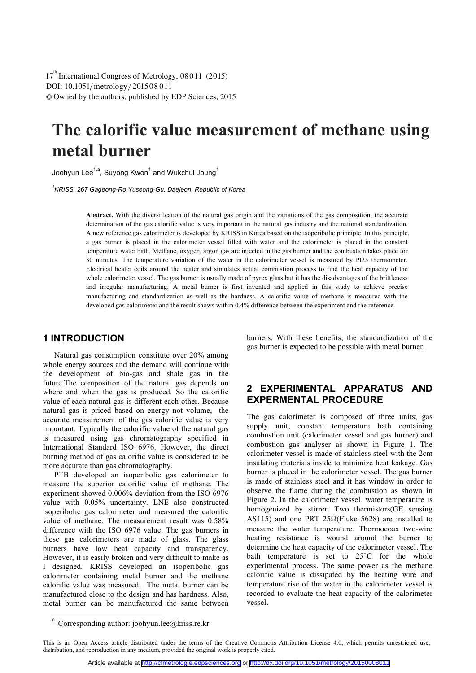DOI: 10.1051/ metrology/20150 0 8 11 -<sup>C</sup> Owned by the authors, published by EDP Sciences, 2015  $17<sup>th</sup>$  International Congress of Metrology, 08011 (2015)

# **The calorific value measurement of methane using**

**metal burner**  Joohyun Lee1,a, Suyong Kwon1 and Wukchul Joung<sup>1</sup>

<sup>1</sup> KRISS, 267 Gageong-Ro, Yuseong-Gu, Daejeon, Republic of Korea *KRISS, 267 Gageong-Ro,Yuseong-Gu, Daejeon, Republic of Korea* 

> **Abstract.** With the diversification of the natural gas origin and the variations of the gas composition, the accurate determination of the gas calorific value is very important in the natural gas industry and the national standardization. A new reference gas calorimeter is developed by KRISS in Korea based on the isoperibolic principle. In this principle, a gas burner is placed in the calorimeter vessel filled with water and the calorimeter is placed in the constant temperature water bath. Methane, oxygen, argon gas are injected in the gas burner and the combustion takes place for 30 minutes. The temperature variation of the water in the calorimeter vessel is measured by Pt25 thermometer. Electrical heater coils around the heater and simulates actual combustion process to find the heat capacity of the whole calorimeter vessel. The gas burner is usually made of pyrex glass but it has the disadvantages of the brittleness and irregular manufacturing. A metal burner is first invented and applied in this study to achieve precise manufacturing and standardization as well as the hardness. A calorific value of methane is measured with the developed gas calorimeter and the result shows within 0.4% difference between the experiment and the reference.

## **1 INTRODUCTION**

Natural gas consumption constitute over 20% among whole energy sources and the demand will continue with the development of bio-gas and shale gas in the future.The composition of the natural gas depends on where and when the gas is produced. So the calorific value of each natural gas is different each other. Because natural gas is priced based on energy not volume, the accurate measurement of the gas calorific value is very important. Typically the calorific value of the natural gas is measured using gas chromatography specified in International Standard ISO 6976. However, the direct burning method of gas calorific value is considered to be more accurate than gas chromatography.

PTB developed an isoperibolic gas calorimeter to measure the superior calorific value of methane. The experiment showed 0.006% deviation from the ISO 6976 value with 0.05% uncertainty. LNE also constructed isoperibolic gas calorimeter and measured the calorific value of methane. The measurement result was 0.58% difference with the ISO 6976 value. The gas burners in these gas calorimeters are made of glass. The glass burners have low heat capacity and transparency. However, it is easily broken and very difficult to make as I designed. KRISS developed an isoperibolic gas calorimeter containing metal burner and the methane calorific value was measured. The metal burner can be manufactured close to the design and has hardness. Also, metal burner can be manufactured the same between burners. With these benefits, the standardization of the gas burner is expected to be possible with metal burner.

# **2 EXPERIMENTAL APPARATUS AND EXPERMENTAL PROCEDURE**

The gas calorimeter is composed of three units; gas supply unit, constant temperature bath containing combustion unit (calorimeter vessel and gas burner) and combustion gas analyser as shown in Figure 1. The calorimeter vessel is made of stainless steel with the 2cm insulating materials inside to minimize heat leakage. Gas burner is placed in the calorimeter vessel. The gas burner is made of stainless steel and it has window in order to observe the flame during the combustion as shown in Figure 2. In the calorimeter vessel, water temperature is homogenized by stirrer. Two thermistors(GE sensing AS115) and one PRT  $25\Omega$ (Fluke 5628) are installed to measure the water temperature. Thermocoax two-wire heating resistance is wound around the burner to determine the heat capacity of the calorimeter vessel. The bath temperature is set to 25°C for the whole experimental process. The same power as the methane calorific value is dissipated by the heating wire and temperature rise of the water in the calorimeter vessel is recorded to evaluate the heat capacity of the calorimeter vessel.

a Corresponding author: joohyun.lee@kriss.re.kr

This is an Open Access article distributed under the terms of the Creative Commons Attribution License 4.0, which permits unrestricted use, distribution, and reproduction in any medium, provided the original work is properly cited.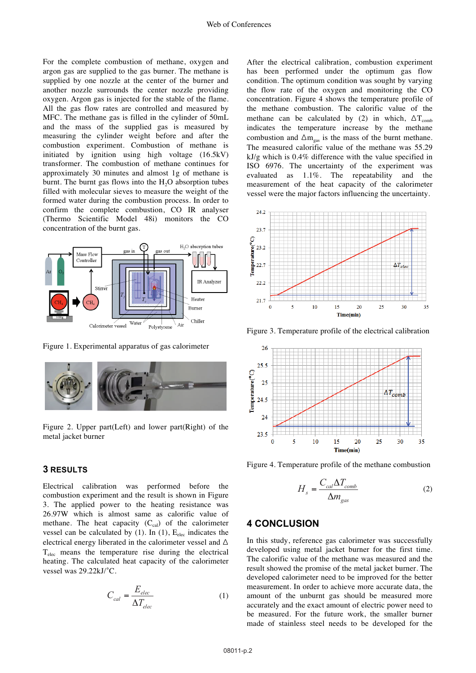For the complete combustion of methane, oxygen and argon gas are supplied to the gas burner. The methane is supplied by one nozzle at the center of the burner and another nozzle surrounds the center nozzle providing oxygen. Argon gas is injected for the stable of the flame. All the gas flow rates are controlled and measured by MFC. The methane gas is filled in the cylinder of 50mL and the mass of the supplied gas is measured by measuring the cylinder weight before and after the combustion experiment. Combustion of methane is initiated by ignition using high voltage (16.5kV) transformer. The combustion of methane continues for approximately 30 minutes and almost 1g of methane is burnt. The burnt gas flows into the  $H<sub>2</sub>O$  absorption tubes filled with molecular sieves to measure the weight of the formed water during the combustion process. In order to confirm the complete combustion, CO IR analyser (Thermo Scientific Model 48i) monitors the CO concentration of the burnt gas.



Figure 1. Experimental apparatus of gas calorimeter



Figure 2. Upper part(Left) and lower part(Right) of the metal jacket burner

#### **3 RESULTS**

Electrical calibration was performed before the combustion experiment and the result is shown in Figure 3. The applied power to the heating resistance was 26.97W which is almost same as calorific value of methane. The heat capacity  $(C_{cal}$  of the calorimeter vessel can be calculated by (1). In (1),  $E_{elec}$  indicates the electrical energy liberated in the calorimeter vessel and  $\Delta$  $T<sub>elec</sub>$  means the temperature rise during the electrical heating. The calculated heat capacity of the calorimeter vessel was 29.22kJ/°C.

$$
C_{cal} = \frac{E_{elec}}{\Delta T_{elec}}
$$
 (1)

After the electrical calibration, combustion experiment has been performed under the optimum gas flow condition. The optimum condition was sought by varying the flow rate of the oxygen and monitoring the CO concentration. Figure 4 shows the temperature profile of the methane combustion. The calorific value of the methane can be calculated by (2) in which,  $\Delta T_{comb}$ indicates the temperature increase by the methane combustion and  $\Delta m_{gas}$  is the mass of the burnt methane. The measured calorific value of the methane was 55.29 kJ/g which is 0.4% difference with the value specified in ISO 6976. The uncertainty of the experiment was evaluated as 1.1%. The repeatability and the measurement of the heat capacity of the calorimeter vessel were the major factors influencing the uncertainty.



Figure 3. Temperature profile of the electrical calibration



Figure 4. Temperature profile of the methane combustion

$$
H_s = \frac{C_{cal} \Delta T_{comb}}{\Delta m_{gas}}
$$
 (2)

### **4 CONCLUSION**

In this study, reference gas calorimeter was successfully developed using metal jacket burner for the first time. The calorific value of the methane was measured and the result showed the promise of the metal jacket burner. The developed calorimeter need to be improved for the better measurement. In order to achieve more accurate data, the amount of the unburnt gas should be measured more accurately and the exact amount of electric power need to be measured. For the future work, the smaller burner made of stainless steel needs to be developed for the